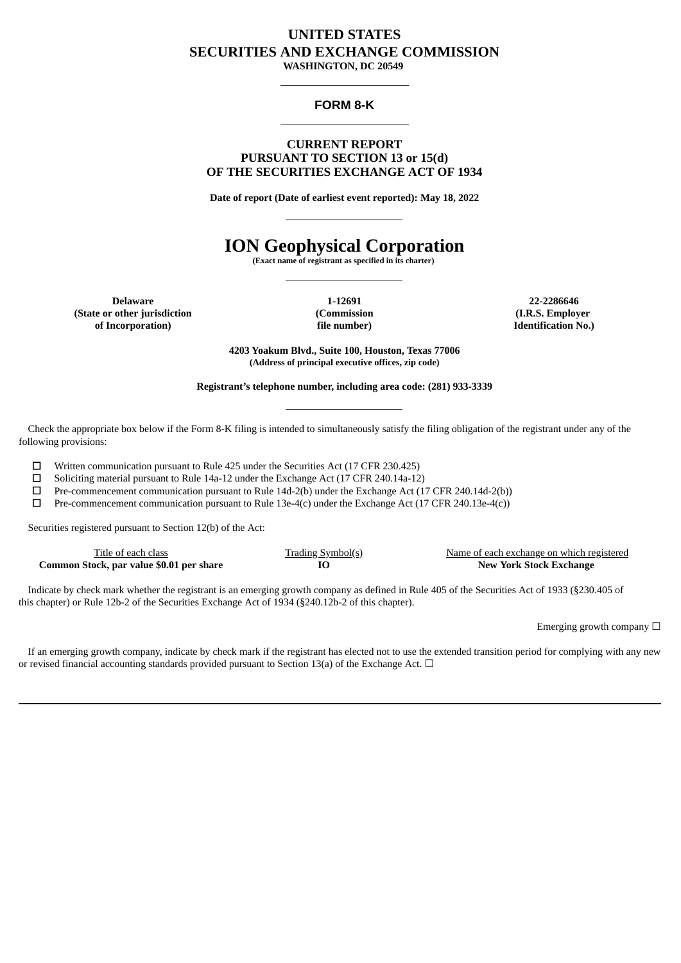## **UNITED STATES SECURITIES AND EXCHANGE COMMISSION**

**WASHINGTON, DC 20549**

## **FORM 8-K**

### **CURRENT REPORT PURSUANT TO SECTION 13 or 15(d) OF THE SECURITIES EXCHANGE ACT OF 1934**

**Date of report (Date of earliest event reported): May 18, 2022**

# **ION Geophysical Corporation**

**(Exact name of registrant as specified in its charter)**

**Delaware (State or other jurisdiction of Incorporation)**

**1-12691 (Commission file number)**

**22-2286646 (I.R.S. Employer Identification No.)**

**4203 Yoakum Blvd., Suite 100, Houston, Texas 77006 (Address of principal executive offices, zip code)**

**Registrant's telephone number, including area code: (281) 933-3339**

Check the appropriate box below if the Form 8-K filing is intended to simultaneously satisfy the filing obligation of the registrant under any of the following provisions:

☐ Written communication pursuant to Rule 425 under the Securities Act (17 CFR 230.425)

☐ Soliciting material pursuant to Rule 14a-12 under the Exchange Act (17 CFR 240.14a-12)

☐ Pre-commencement communication pursuant to Rule 14d-2(b) under the Exchange Act (17 CFR 240.14d-2(b))

☐ Pre-commencement communication pursuant to Rule 13e-4(c) under the Exchange Act (17 CFR 240.13e-4(c))

Securities registered pursuant to Section 12(b) of the Act:

| Title of each class                      | <b>Trading Symbol(s)</b> | Name of each exchange on which registered |
|------------------------------------------|--------------------------|-------------------------------------------|
| Common Stock, par value \$0.01 per share |                          | <b>New York Stock Exchange</b>            |

Indicate by check mark whether the registrant is an emerging growth company as defined in Rule 405 of the Securities Act of 1933 (§230.405 of this chapter) or Rule 12b-2 of the Securities Exchange Act of 1934 (§240.12b-2 of this chapter).

Emerging growth company  $\Box$ 

If an emerging growth company, indicate by check mark if the registrant has elected not to use the extended transition period for complying with any new or revised financial accounting standards provided pursuant to Section 13(a) of the Exchange Act.  $\Box$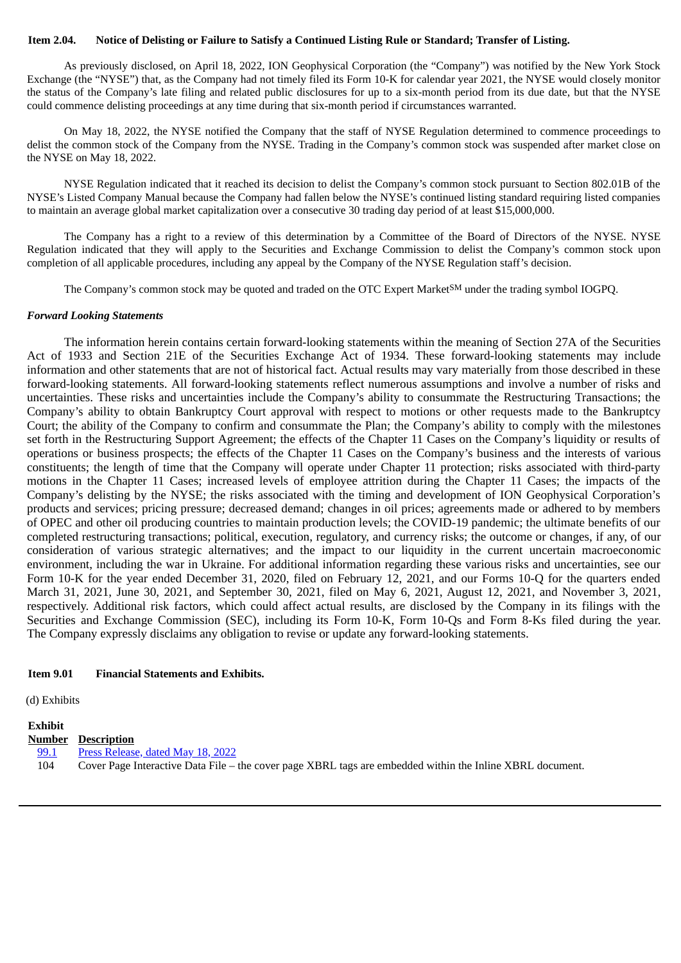#### Item 2.04. Notice of Delisting or Failure to Satisfy a Continued Listing Rule or Standard; Transfer of Listing.

As previously disclosed, on April 18, 2022, ION Geophysical Corporation (the "Company") was notified by the New York Stock Exchange (the "NYSE") that, as the Company had not timely filed its Form 10-K for calendar year 2021, the NYSE would closely monitor the status of the Company's late filing and related public disclosures for up to a six-month period from its due date, but that the NYSE could commence delisting proceedings at any time during that six-month period if circumstances warranted.

On May 18, 2022, the NYSE notified the Company that the staff of NYSE Regulation determined to commence proceedings to delist the common stock of the Company from the NYSE. Trading in the Company's common stock was suspended after market close on the NYSE on May 18, 2022.

NYSE Regulation indicated that it reached its decision to delist the Company's common stock pursuant to Section 802.01B of the NYSE's Listed Company Manual because the Company had fallen below the NYSE's continued listing standard requiring listed companies to maintain an average global market capitalization over a consecutive 30 trading day period of at least \$15,000,000.

The Company has a right to a review of this determination by a Committee of the Board of Directors of the NYSE. NYSE Regulation indicated that they will apply to the Securities and Exchange Commission to delist the Company's common stock upon completion of all applicable procedures, including any appeal by the Company of the NYSE Regulation staff's decision.

The Company's common stock may be quoted and traded on the OTC Expert Market<sup>SM</sup> under the trading symbol IOGPQ.

#### *Forward Looking Statements*

The information herein contains certain forward-looking statements within the meaning of Section 27A of the Securities Act of 1933 and Section 21E of the Securities Exchange Act of 1934. These forward-looking statements may include information and other statements that are not of historical fact. Actual results may vary materially from those described in these forward-looking statements. All forward-looking statements reflect numerous assumptions and involve a number of risks and uncertainties. These risks and uncertainties include the Company's ability to consummate the Restructuring Transactions; the Company's ability to obtain Bankruptcy Court approval with respect to motions or other requests made to the Bankruptcy Court; the ability of the Company to confirm and consummate the Plan; the Company's ability to comply with the milestones set forth in the Restructuring Support Agreement; the effects of the Chapter 11 Cases on the Company's liquidity or results of operations or business prospects; the effects of the Chapter 11 Cases on the Company's business and the interests of various constituents; the length of time that the Company will operate under Chapter 11 protection; risks associated with third-party motions in the Chapter 11 Cases; increased levels of employee attrition during the Chapter 11 Cases; the impacts of the Company's delisting by the NYSE; the risks associated with the timing and development of ION Geophysical Corporation's products and services; pricing pressure; decreased demand; changes in oil prices; agreements made or adhered to by members of OPEC and other oil producing countries to maintain production levels; the COVID-19 pandemic; the ultimate benefits of our completed restructuring transactions; political, execution, regulatory, and currency risks; the outcome or changes, if any, of our consideration of various strategic alternatives; and the impact to our liquidity in the current uncertain macroeconomic environment, including the war in Ukraine. For additional information regarding these various risks and uncertainties, see our Form 10-K for the year ended December 31, 2020, filed on February 12, 2021, and our Forms 10-Q for the quarters ended March 31, 2021, June 30, 2021, and September 30, 2021, filed on May 6, 2021, August 12, 2021, and November 3, 2021, respectively. Additional risk factors, which could affect actual results, are disclosed by the Company in its filings with the Securities and Exchange Commission (SEC), including its Form 10-K, Form 10-Qs and Form 8-Ks filed during the year. The Company expressly disclaims any obligation to revise or update any forward-looking statements.

#### **Item 9.01 Financial Statements and Exhibits.**

(d) Exhibits

## **Exhibit**

- **Number Description**
- [99.1](#page-3-0) Press [Release,](#page-3-0) dated May 18, 2022
- 104 Cover Page Interactive Data File the cover page XBRL tags are embedded within the Inline XBRL document.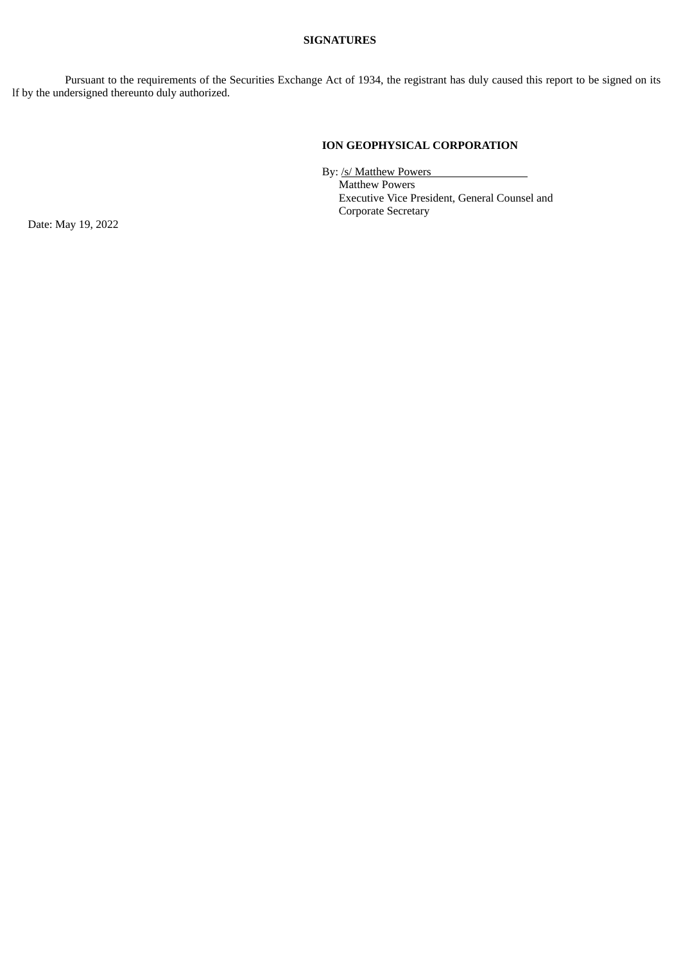#### **SIGNATURES**

Pursuant to the requirements of the Securities Exchange Act of 1934, the registrant has duly caused this report to be signed on its lf by the undersigned thereunto duly authorized.

## **ION GEOPHYSICAL CORPORATION**

By: /s/ Matthew Powers

Matthew Powers Executive Vice President, General Counsel and Corporate Secretary

Date: May 19, 2022